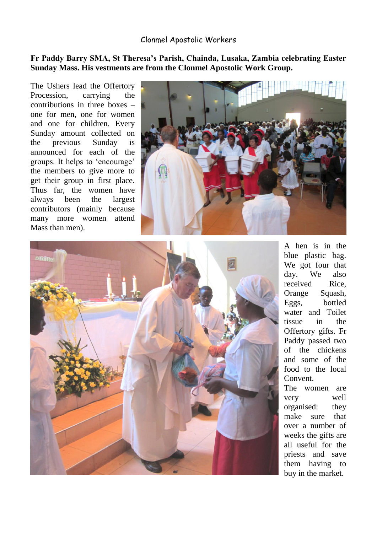## Clonmel Apostolic Workers

## **Fr Paddy Barry SMA, St Theresa's Parish, Chainda, Lusaka, Zambia celebrating Easter Sunday Mass. His vestments are from the Clonmel Apostolic Work Group.**

The Ushers lead the Offertory Procession, carrying the contributions in three boxes – one for men, one for women and one for children. Every Sunday amount collected on the previous Sunday is announced for each of the groups. It helps to 'encourage' the members to give more to get their group in first place. Thus far, the women have always been the largest contributors (mainly because many more women attend Mass than men).





A hen is in the blue plastic bag. We got four that day. We also received Rice, Orange Squash, Eggs, bottled water and Toilet tissue in the Offertory gifts. Fr Paddy passed two of the chickens and some of the food to the local Convent.

The women are very well organised: they make sure that over a number of weeks the gifts are all useful for the priests and save them having to buy in the market.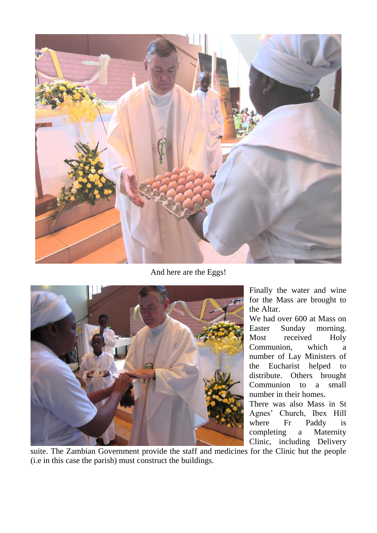

And here are the Eggs!



Finally the water and wine for the Mass are brought to the Altar.

We had over 600 at Mass on Easter Sunday morning. Most received Holy Communion, which a number of Lay Ministers of the Eucharist helped to distribute. Others brought Communion to a small number in their homes.

There was also Mass in St Agnes' Church, Ibex Hill where Fr Paddy is completing a Maternity Clinic, including Delivery

suite. The Zambian Government provide the staff and medicines for the Clinic but the people (i.e in this case the parish) must construct the buildings.